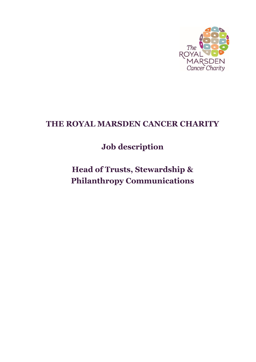

## **THE ROYAL MARSDEN CANCER CHARITY**

# **Job description**

**Head of Trusts, Stewardship & Philanthropy Communications**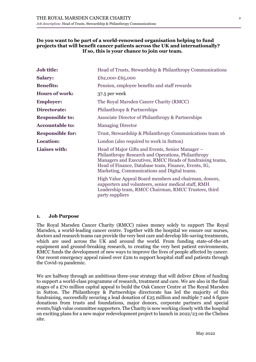#### **Do you want to be part of a world-renowned organisation helping to fund projects that will benefit cancer patients across the UK and internationally? If so, this is your chance to join our team.**

| Job title:              | Head of Trusts, Stewardship & Philanthropy Communications                                                                                                                                                                                                                   |  |
|-------------------------|-----------------------------------------------------------------------------------------------------------------------------------------------------------------------------------------------------------------------------------------------------------------------------|--|
| <b>Salary:</b>          | £62,000-£65,000                                                                                                                                                                                                                                                             |  |
| <b>Benefits:</b>        | Pension, employee benefits and staff rewards                                                                                                                                                                                                                                |  |
| <b>Hours of work:</b>   | 37.5 per week                                                                                                                                                                                                                                                               |  |
| <b>Employer:</b>        | The Royal Marsden Cancer Charity (RMCC)                                                                                                                                                                                                                                     |  |
| Directorate:            | Philanthropy & Partnerships                                                                                                                                                                                                                                                 |  |
| <b>Responsible to:</b>  | Associate Director of Philanthropy & Partnerships                                                                                                                                                                                                                           |  |
| <b>Accountable to:</b>  | <b>Managing Director</b>                                                                                                                                                                                                                                                    |  |
| <b>Responsible for:</b> | Trust, Stewardship & Philanthropy Communications team x6                                                                                                                                                                                                                    |  |
| <b>Location:</b>        | London (also required to work in Sutton)                                                                                                                                                                                                                                    |  |
| Liaises with:           | Head of Major Gifts and Events, Senior Manager –<br>Philanthropy Research and Operations, Philanthropy<br>Managers and Executives, RMCC Heads of fundraising teams,<br>Head of Finance, Database team, Finance, Events, IG,<br>Marketing, Communications and Digital teams. |  |
|                         | High Value Appeal Board members and chairman, donors,<br>supporters and volunteers, senior medical staff, RMH<br>Leadership team, RMCC Chairman, RMCC Trustees, third<br>party suppliers                                                                                    |  |

#### **1. Job Purpose**

The Royal Marsden Cancer Charity (RMCC) raises money solely to support The Royal Marsden, a world-leading cancer centre. Together with the hospital we ensure our nurses, doctors and research teams can provide the very best care and develop life-saving treatments, which are used across the UK and around the world. From funding state-of-the-art equipment and ground-breaking research, to creating the very best patient environments, RMCC funds the development of new ways to improve the lives of people affected by cancer. Our recent emergency appeal raised over £2m to support hospital staff and patients through the Covid-19 pandemic.

We are halfway through an ambitious three-year strategy that will deliver £80m of funding to support a world-class programme of research, treatment and care. We are also in the final stages of a £70 million capital appeal to build the Oak Cancer Centre at The Royal Marsden in Sutton. The Philanthropy & Partnerships directorate has led the majority of this fundraising, successfully securing a lead donation of £25 million and multiple 7 and 6 figure donations from trusts and foundations, major donors, corporate partners and special events/high value committee supporters. The Charity is now working closely with the hospital on exciting plans for a new major redevelopment project to launch in 2022/23 on the Chelsea site.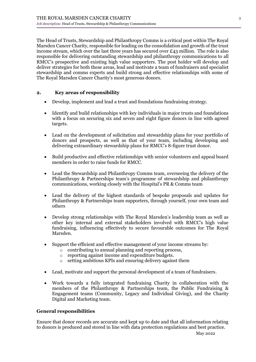The Head of Trusts, Stewardship and Philanthropy Comms is a critical post within The Royal Marsden Cancer Charity, responsible for leading on the consolidation and growth of the trust income stream, which over the last three years has secured over £43 million. The role is also responsible for delivering outstanding stewardship and philanthropy communications to all RMCC's prospective and existing high value supporters. The post holder will develop and deliver strategies for both these areas, lead and motivate a team of fundraisers and specialist stewardship and comms experts and build strong and effective relationships with some of The Royal Marsden Cancer Charity's most generous donors.

#### **2. Key areas of responsibility**

- Develop, implement and lead a trust and foundations fundraising strategy.
- Identify and build relationships with key individuals in major trusts and foundations with a focus on securing six and seven and eight figure donors in line with agreed targets.
- Lead on the development of solicitation and stewardship plans for your portfolio of donors and prospects, as well as that of your team, including developing and delivering extraordinary stewardship plans for RMCC's 8-figure trust donor.
- Build productive and effective relationships with senior volunteers and appeal board members in order to raise funds for RMCC.
- Lead the Stewardship and Philanthropy Comms team, overseeing the delivery of the Philanthropy & Partnerships team's programme of stewardship and philanthropy communications, working closely with the Hospital's PR & Comms team
- Lead the delivery of the highest standards of bespoke proposals and updates for Philanthropy & Partnerships team supporters, through yourself, your own team and others
- Develop strong relationships with The Royal Marsden's leadership team as well as other key internal and external stakeholders involved with RMCC's high value fundraising, influencing effectively to secure favourable outcomes for The Royal Marsden.
- Support the efficient and effective management of your income streams by:
	- o contributing to annual planning and reporting process,
	- o reporting against income and expenditure budgets.
	- o setting ambitious KPIs and ensuring delivery against them
- Lead, motivate and support the personal development of a team of fundraisers.
- Work towards a fully integrated fundraising Charity in collaboration with the members of the Philanthropy & Partnerships team, the Public Fundraising & Engagement teams (Community, Legacy and Individual Giving), and the Charity Digital and Marketing team.

#### **General responsibilities**

Ensure that donor records are accurate and kept up to date and that all information relating to donors is produced and stored in line with data protection regulations and best practice.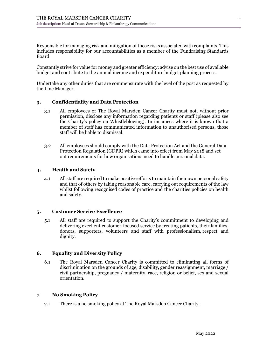Responsible for managing risk and mitigation of those risks associated with complaints. This includes responsibility for our accountabilities as a member of the Fundraising Standards Board

Constantly strive for value for money and greater efficiency; advise on the best use of available budget and contribute to the annual income and expenditure budget planning process.

Undertake any other duties that are commensurate with the level of the post as requested by the Line Manager.

#### **3. Confidentiality and Data Protection**

- 3.1 All employees of The Royal Marsden Cancer Charity must not, without prior permission, disclose any information regarding patients or staff (please also see the Charity's policy on Whistleblowing). In instances where it is known that a member of staff has communicated information to unauthorised persons, those staff will be liable to dismissal.
- 3.2 All employees should comply with the Data Protection Act and the General Data Protection Regulation (GDPR) which came into effect from May 2018 and set out requirements for how organisations need to handle personal data.

#### **4. Health and Safety**

4.1 All staff are required to make positive efforts to maintain their own personal safety and that of others by taking reasonable care, carrying out requirements of the law whilst following recognised codes of practice and the charities policies on health and safety.

#### **5. Customer Service Excellence**

5.1 All staff are required to support the Charity's commitment to developing and delivering excellent customer-focused service by treating patients, their families, donors, supporters, volunteers and staff with professionalism, respect and dignity.

#### **6. Equality and Diversity Policy**

6.1 The Royal Marsden Cancer Charity is committed to eliminating all forms of discrimination on the grounds of age, disability, gender reassignment, marriage / civil partnership, pregnancy / maternity, race, religion or belief, sex and sexual orientation.

#### **7. No Smoking Policy**

7.1 There is a no smoking policy at The Royal Marsden Cancer Charity.